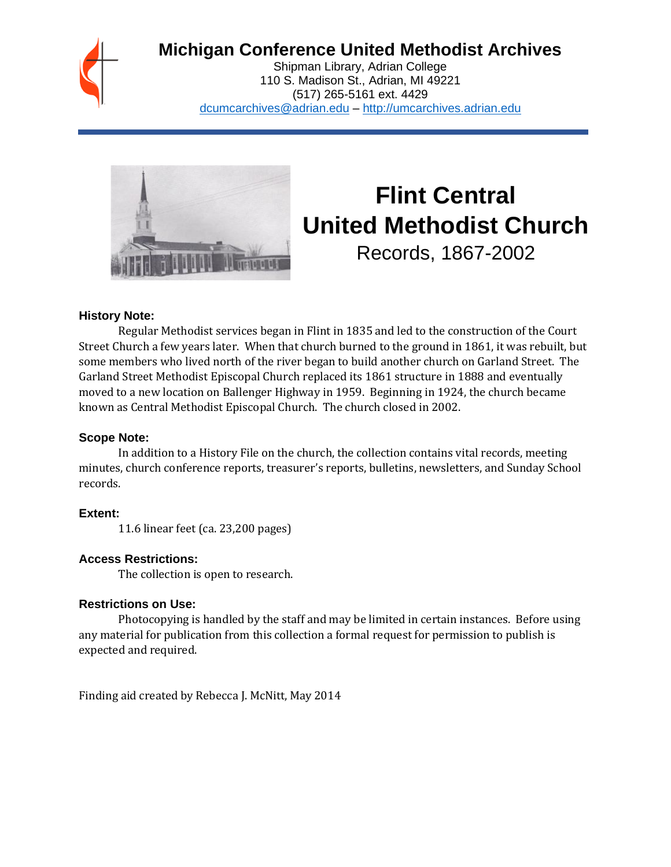

## **Michigan Conference United Methodist Archives**

Shipman Library, Adrian College 110 S. Madison St., Adrian, MI 49221 (517) 265-5161 ext. 4429 [dcumcarchives@adrian.edu](mailto:dcumcarchives@adrian.edu) – [http://umcarchives.adrian.edu](http://umcarchives.adrian.edu/)



# **Flint Central United Methodist Church**

Records, 1867-2002

## **History Note:**

Regular Methodist services began in Flint in 1835 and led to the construction of the Court Street Church a few years later. When that church burned to the ground in 1861, it was rebuilt, but some members who lived north of the river began to build another church on Garland Street. The Garland Street Methodist Episcopal Church replaced its 1861 structure in 1888 and eventually moved to a new location on Ballenger Highway in 1959. Beginning in 1924, the church became known as Central Methodist Episcopal Church. The church closed in 2002.

## **Scope Note:**

In addition to a History File on the church, the collection contains vital records, meeting minutes, church conference reports, treasurer's reports, bulletins, newsletters, and Sunday School records.

## **Extent:**

11.6 linear feet (ca. 23,200 pages)

## **Access Restrictions:**

The collection is open to research.

## **Restrictions on Use:**

Photocopying is handled by the staff and may be limited in certain instances. Before using any material for publication from this collection a formal request for permission to publish is expected and required.

Finding aid created by Rebecca J. McNitt, May 2014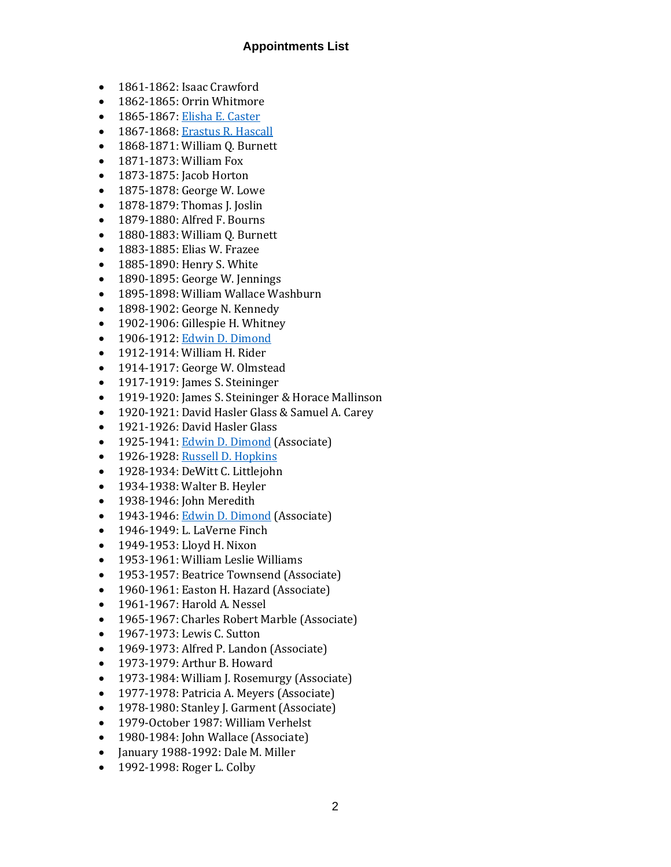## **Appointments List**

- 1861-1862: Isaac Crawford
- 1862-1865: Orrin Whitmore
- 1865-1867[: Elisha E. Caster](http://umcarchives.adrian.edu/fa/castereepapers.pdf)
- 1867-1868[: Erastus R. Hascall](http://umcarchives.adrian.edu/clergy/hascaller.php)
- 1868-1871: William Q. Burnett
- 1871-1873: William Fox
- 1873-1875: Jacob Horton
- 1875-1878: George W. Lowe
- 1878-1879: Thomas J. Joslin
- 1879-1880: Alfred F. Bourns
- 1880-1883: William Q. Burnett
- 1883-1885: Elias W. Frazee
- 1885-1890: Henry S. White
- 1890-1895: George W. Jennings
- 1895-1898: William Wallace Washburn
- 1898-1902: George N. Kennedy
- 1902-1906: Gillespie H. Whitney
- 1906-1912[: Edwin D. Dimond](http://umcarchives.adrian.edu/clergy/dimonded.php)
- 1912-1914: William H. Rider
- 1914-1917: George W. Olmstead
- 1917-1919: James S. Steininger
- 1919-1920: James S. Steininger & Horace Mallinson
- 1920-1921: David Hasler Glass & Samuel A. Carey
- 1921-1926: David Hasler Glass
- 1925-1941[: Edwin D. Dimond](http://umcarchives.adrian.edu/clergy/dimonded.php) (Associate)
- 1926-1928[: Russell D. Hopkins](http://umcarchives.adrian.edu/clergy/hopkinsrd.php)
- 1928-1934: DeWitt C. Littlejohn
- 1934-1938: Walter B. Heyler
- 1938-1946: John Meredith
- 1943-1946[: Edwin D. Dimond](http://umcarchives.adrian.edu/clergy/dimonded.php) (Associate)
- 1946-1949: L. LaVerne Finch
- 1949-1953: Lloyd H. Nixon
- 1953-1961: William Leslie Williams
- 1953-1957: Beatrice Townsend (Associate)
- 1960-1961: Easton H. Hazard (Associate)
- 1961-1967: Harold A. Nessel
- 1965-1967: Charles Robert Marble (Associate)
- 1967-1973: Lewis C. Sutton
- 1969-1973: Alfred P. Landon (Associate)
- 1973-1979: Arthur B. Howard
- 1973-1984: William J. Rosemurgy (Associate)
- 1977-1978: Patricia A. Meyers (Associate)
- 1978-1980: Stanley J. Garment (Associate)
- 1979-October 1987: William Verhelst
- 1980-1984: John Wallace (Associate)
- January 1988-1992: Dale M. Miller
- 1992-1998: Roger L. Colby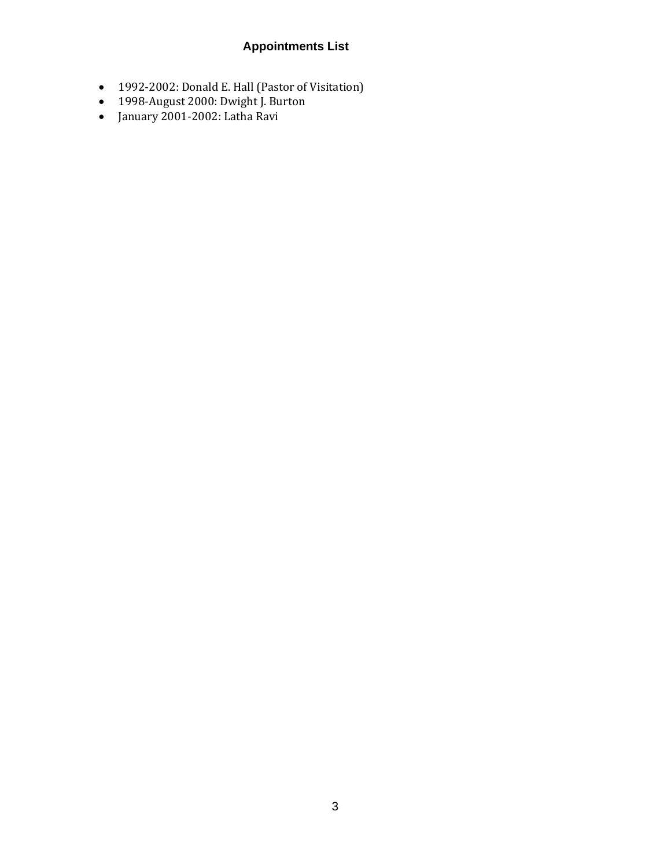## **Appointments List**

- 1992-2002: Donald E. Hall (Pastor of Visitation)
- 1998-August 2000: Dwight J. Burton
- January 2001-2002: Latha Ravi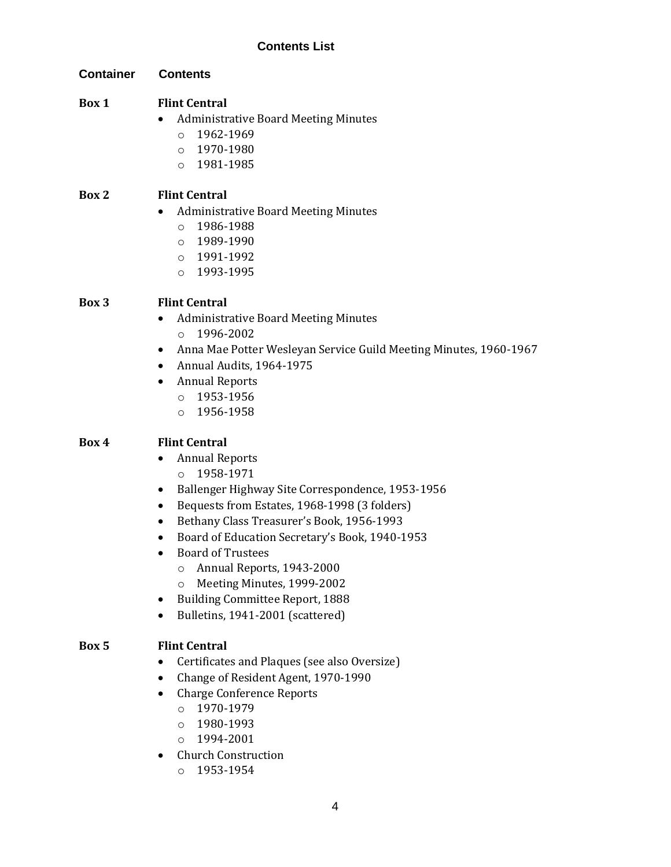| <b>Container</b> | <b>Contents</b>                                                                                                                                                                                                                                                                                                                                                                                                                                                                                      |
|------------------|------------------------------------------------------------------------------------------------------------------------------------------------------------------------------------------------------------------------------------------------------------------------------------------------------------------------------------------------------------------------------------------------------------------------------------------------------------------------------------------------------|
| Box 1            | <b>Flint Central</b><br><b>Administrative Board Meeting Minutes</b><br>1962-1969<br>$\circ$<br>1970-1980<br>$\circ$<br>1981-1985<br>$\circ$                                                                                                                                                                                                                                                                                                                                                          |
| Box 2            | <b>Flint Central</b><br><b>Administrative Board Meeting Minutes</b><br>1986-1988<br>$\circ$<br>1989-1990<br>$\circ$<br>1991-1992<br>$\circ$<br>1993-1995<br>$\circ$                                                                                                                                                                                                                                                                                                                                  |
| Box 3            | <b>Flint Central</b><br><b>Administrative Board Meeting Minutes</b><br>1996-2002<br>$\circ$<br>Anna Mae Potter Wesleyan Service Guild Meeting Minutes, 1960-1967<br>$\bullet$<br>Annual Audits, 1964-1975<br>$\bullet$<br><b>Annual Reports</b><br>٠<br>1953-1956<br>$\circ$<br>1956-1958<br>$\circ$                                                                                                                                                                                                 |
| Box 4            | <b>Flint Central</b><br><b>Annual Reports</b><br>$\bullet$<br>1958-1971<br>$\circ$<br>Ballenger Highway Site Correspondence, 1953-1956<br>٠<br>Bequests from Estates, 1968-1998 (3 folders)<br>٠<br>Bethany Class Treasurer's Book, 1956-1993<br>٠<br>Board of Education Secretary's Book, 1940-1953<br>٠<br><b>Board of Trustees</b><br>Annual Reports, 1943-2000<br>$\circ$<br>Meeting Minutes, 1999-2002<br>$\circ$<br><b>Building Committee Report, 1888</b><br>Bulletins, 1941-2001 (scattered) |
| Box 5            | <b>Flint Central</b><br>Certificates and Plaques (see also Oversize)<br>Change of Resident Agent, 1970-1990<br><b>Charge Conference Reports</b><br>$\bullet$<br>1970-1979<br>$\circ$<br>1980-1993<br>$\Omega$<br>1994-2001<br>$\circ$<br><b>Church Construction</b>                                                                                                                                                                                                                                  |

o 1953-1954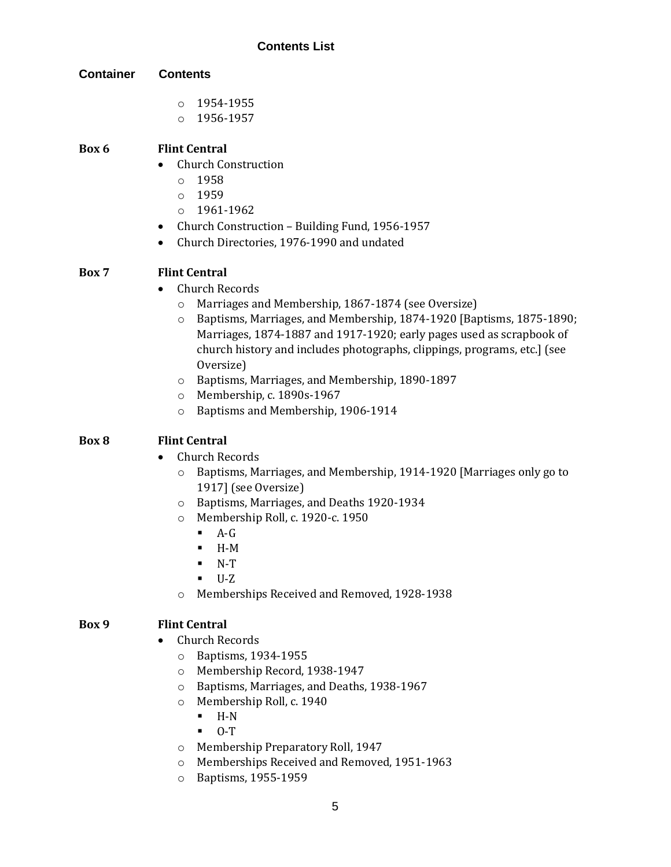| <b>Container</b> | <b>Contents</b>                                                                                                                                                                                                                                                                                                   |
|------------------|-------------------------------------------------------------------------------------------------------------------------------------------------------------------------------------------------------------------------------------------------------------------------------------------------------------------|
|                  | 1954-1955<br>$\circ$                                                                                                                                                                                                                                                                                              |
|                  | 1956-1957<br>$\circ$                                                                                                                                                                                                                                                                                              |
| Box 6            | <b>Flint Central</b>                                                                                                                                                                                                                                                                                              |
|                  | <b>Church Construction</b><br>$\bullet$                                                                                                                                                                                                                                                                           |
|                  | 1958<br>$\circ$                                                                                                                                                                                                                                                                                                   |
|                  | 1959<br>$\circ$                                                                                                                                                                                                                                                                                                   |
|                  | 1961-1962<br>$\circ$<br>Church Construction - Building Fund, 1956-1957                                                                                                                                                                                                                                            |
|                  | ٠<br>Church Directories, 1976-1990 and undated<br>$\bullet$                                                                                                                                                                                                                                                       |
| Box 7            | <b>Flint Central</b>                                                                                                                                                                                                                                                                                              |
|                  | <b>Church Records</b><br>$\bullet$                                                                                                                                                                                                                                                                                |
|                  | Marriages and Membership, 1867-1874 (see Oversize)<br>$\circ$<br>Baptisms, Marriages, and Membership, 1874-1920 [Baptisms, 1875-1890;<br>$\circ$<br>Marriages, 1874-1887 and 1917-1920; early pages used as scrapbook of<br>church history and includes photographs, clippings, programs, etc.] (see<br>Oversize) |
|                  | Baptisms, Marriages, and Membership, 1890-1897<br>$\circ$                                                                                                                                                                                                                                                         |
|                  | Membership, c. 1890s-1967<br>$\circ$                                                                                                                                                                                                                                                                              |
|                  | Baptisms and Membership, 1906-1914<br>O                                                                                                                                                                                                                                                                           |
| Box 8            | <b>Flint Central</b>                                                                                                                                                                                                                                                                                              |
|                  | <b>Church Records</b>                                                                                                                                                                                                                                                                                             |
|                  | Baptisms, Marriages, and Membership, 1914-1920 [Marriages only go to<br>$\circ$<br>1917] (see Oversize)                                                                                                                                                                                                           |
|                  | Baptisms, Marriages, and Deaths 1920-1934<br>$\circ$                                                                                                                                                                                                                                                              |
|                  | Membership Roll, c. 1920-c. 1950<br>$\circ$                                                                                                                                                                                                                                                                       |
|                  | $A-G$<br>$\blacksquare$                                                                                                                                                                                                                                                                                           |
|                  | $H-M$                                                                                                                                                                                                                                                                                                             |
|                  | $N-T$<br>$U-Z$                                                                                                                                                                                                                                                                                                    |
|                  | Memberships Received and Removed, 1928-1938<br>$\circ$                                                                                                                                                                                                                                                            |
| Box 9            | <b>Flint Central</b>                                                                                                                                                                                                                                                                                              |
|                  | <b>Church Records</b>                                                                                                                                                                                                                                                                                             |
|                  | Baptisms, 1934-1955<br>O                                                                                                                                                                                                                                                                                          |
|                  | Membership Record, 1938-1947<br>$\circ$                                                                                                                                                                                                                                                                           |
|                  | Baptisms, Marriages, and Deaths, 1938-1967<br>$\circ$                                                                                                                                                                                                                                                             |
|                  | Membership Roll, c. 1940<br>$\circ$                                                                                                                                                                                                                                                                               |
|                  | $H-N$<br>٠                                                                                                                                                                                                                                                                                                        |
|                  | $0-T$<br>٠                                                                                                                                                                                                                                                                                                        |

- o Membership Preparatory Roll, 1947
- o Memberships Received and Removed, 1951-1963
- o Baptisms, 1955-1959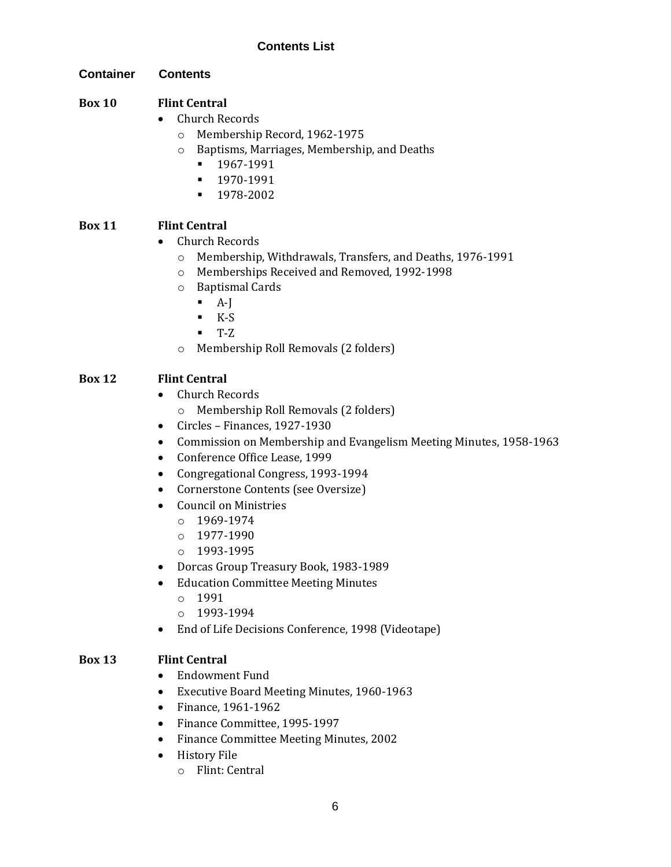## **Container Contents**

## **Box 10 Flint Central**

- Church Records
	- o Membership Record, 1962-1975
	- o Baptisms, Marriages, Membership, and Deaths
		- 1967-1991
		- 1970-1991
		- 1978-2002

## **Box 11 Flint Central**

- Church Records
	- o Membership, Withdrawals, Transfers, and Deaths, 1976-1991
	- o Memberships Received and Removed, 1992-1998
	- o Baptismal Cards
		- $A-I$
		- $K-S$
		- $T-Z$
	- o Membership Roll Removals (2 folders)

## **Box 12 Flint Central**

- Church Records
	- o Membership Roll Removals (2 folders)
- Circles Finances, 1927-1930
- Commission on Membership and Evangelism Meeting Minutes, 1958-1963
- Conference Office Lease, 1999
- Congregational Congress, 1993-1994
- Cornerstone Contents (see Oversize)
- Council on Ministries
	- $0.1969 1974$
	- o 1977-1990
	- o 1993-1995
- Dorcas Group Treasury Book, 1983-1989
- Education Committee Meeting Minutes
	- o 1991
	- o 1993-1994
- End of Life Decisions Conference, 1998 (Videotape)

## **Box 13 Flint Central**

- Endowment Fund
- Executive Board Meeting Minutes, 1960-1963
- Finance, 1961-1962
- Finance Committee, 1995-1997
- Finance Committee Meeting Minutes, 2002
- History File
	- o Flint: Central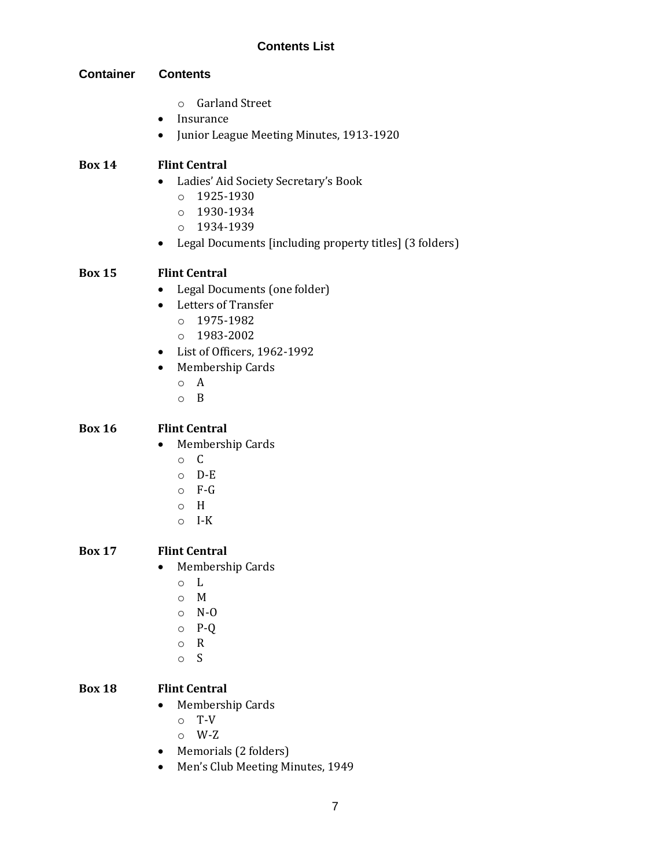## **Container Contents**

- o Garland Street
- Insurance
- Junior League Meeting Minutes, 1913-1920

## **Box 14 Flint Central**

- Ladies' Aid Society Secretary's Book
	- o 1925-1930
	- o 1930-1934
	- o 1934-1939
- Legal Documents [including property titles] (3 folders)

## **Box 15 Flint Central**

- Legal Documents (one folder)
- Letters of Transfer
	- o 1975-1982
	- o 1983-2002
- List of Officers, 1962-1992
- Membership Cards
	- o A
	- o B

## **Box 16 Flint Central**

- Membership Cards
	- o C
	- o D-E
	- o F-G
	- o H
	- o I-K

## **Box 17 Flint Central**

- Membership Cards
	- o L
	- o M
	- o N-O
	- o P-Q
	- o R
	- o S

## **Box 18 Flint Central**

- Membership Cards
	- o T-V
	- o W-Z
- Memorials (2 folders)
- Men's Club Meeting Minutes, 1949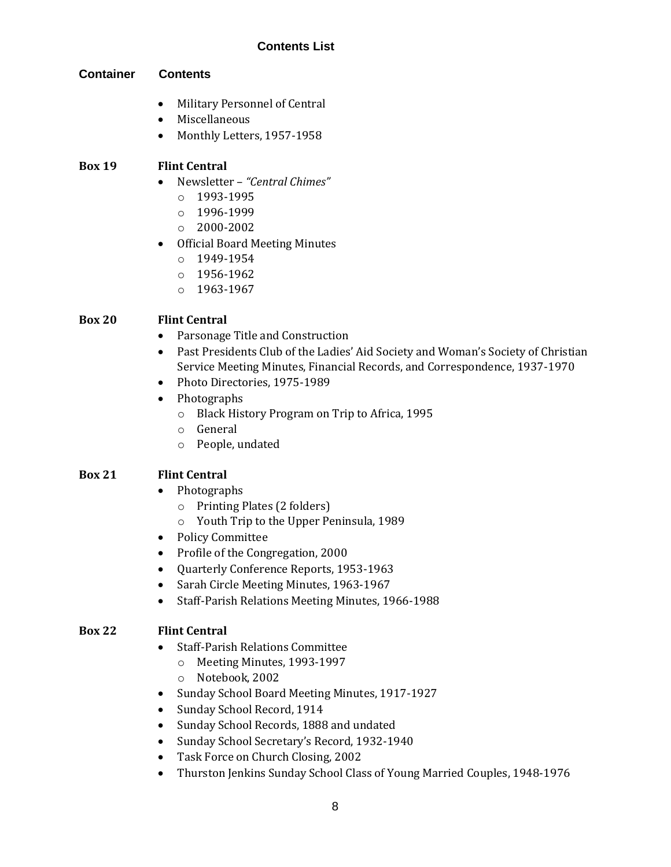## **Container Contents**

- Military Personnel of Central
- Miscellaneous
- Monthly Letters, 1957-1958

## **Box 19 Flint Central**

- Newsletter *"Central Chimes"*
	- o 1993-1995
	- o 1996-1999
	- o 2000-2002
- Official Board Meeting Minutes
	- o 1949-1954
	- o 1956-1962
	- o 1963-1967

## **Box 20 Flint Central**

- Parsonage Title and Construction
- Past Presidents Club of the Ladies' Aid Society and Woman's Society of Christian Service Meeting Minutes, Financial Records, and Correspondence, 1937-1970
- Photo Directories, 1975-1989
- Photographs
	- o Black History Program on Trip to Africa, 1995
	- o General
	- o People, undated

## **Box 21 Flint Central**

- Photographs
	- o Printing Plates (2 folders)
	- o Youth Trip to the Upper Peninsula, 1989
- Policy Committee
- Profile of the Congregation, 2000
- Quarterly Conference Reports, 1953-1963
- Sarah Circle Meeting Minutes, 1963-1967
- Staff-Parish Relations Meeting Minutes, 1966-1988

## **Box 22 Flint Central**

- Staff-Parish Relations Committee
	- o Meeting Minutes, 1993-1997
	- o Notebook, 2002
- Sunday School Board Meeting Minutes, 1917-1927
- Sunday School Record, 1914
- Sunday School Records, 1888 and undated
- Sunday School Secretary's Record, 1932-1940
- Task Force on Church Closing, 2002
- Thurston Jenkins Sunday School Class of Young Married Couples, 1948-1976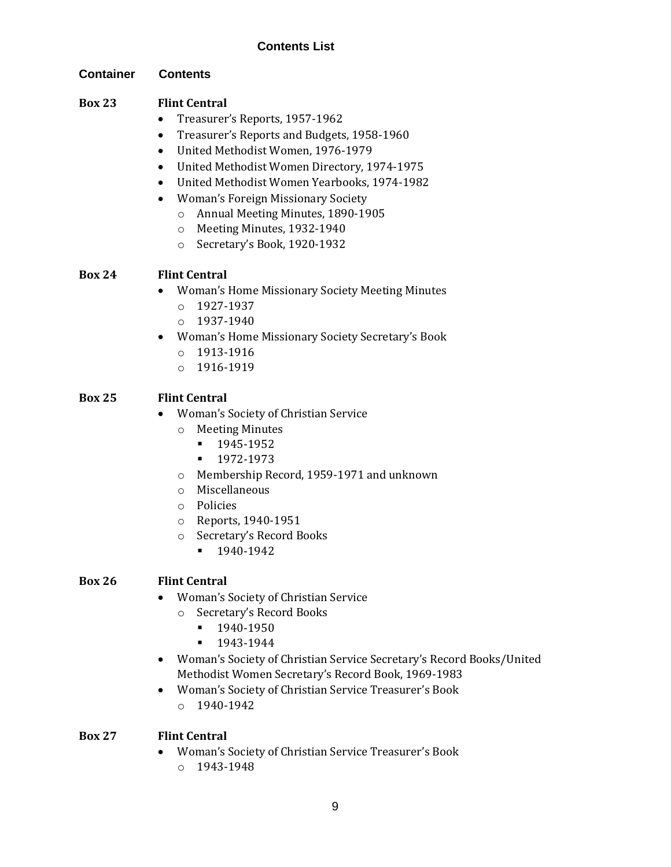## **Container Contents**

## **Box 23 Flint Central**

- Treasurer's Reports, 1957-1962
- Treasurer's Reports and Budgets, 1958-1960
- United Methodist Women, 1976-1979
- United Methodist Women Directory, 1974-1975
- United Methodist Women Yearbooks, 1974-1982
- Woman's Foreign Missionary Society
	- o Annual Meeting Minutes, 1890-1905
	- o Meeting Minutes, 1932-1940
	- o Secretary's Book, 1920-1932

## **Box 24 Flint Central**

- Woman's Home Missionary Society Meeting Minutes
	- $O$  1927-1937
	- o 1937-1940
- Woman's Home Missionary Society Secretary's Book
	- o 1913-1916
	- o 1916-1919

## **Box 25 Flint Central**

- Woman's Society of Christian Service
	- o Meeting Minutes
		- 1945-1952
		- 1972-1973
	- o Membership Record, 1959-1971 and unknown
	- o Miscellaneous
	- o Policies
	- o Reports, 1940-1951
	- o Secretary's Record Books
		- 1940-1942

## **Box 26 Flint Central**

- Woman's Society of Christian Service
	- o Secretary's Record Books
		- 1940-1950
		- 1943-1944
- Woman's Society of Christian Service Secretary's Record Books/United Methodist Women Secretary's Record Book, 1969-1983
- Woman's Society of Christian Service Treasurer's Book o 1940-1942

## **Box 27 Flint Central**

- Woman's Society of Christian Service Treasurer's Book
	- o 1943-1948